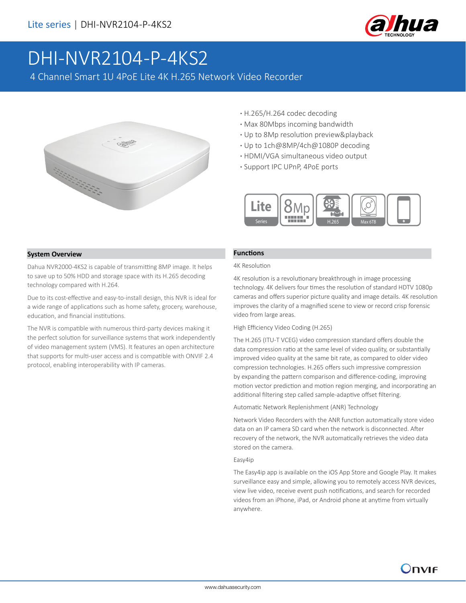

# DHI-NVR2104-P-4KS2

4 Channel Smart 1U 4PoE Lite 4K H.265 Network Video Recorder



- **·** H.265/H.264 codec decoding
- **·** Max 80Mbps incoming bandwidth
- **·** Up to 8Mp resolution preview&playback
- **·** Up to 1ch@8MP/4ch@1080P decoding
- **·** HDMI/VGA simultaneous video output
- **·** Support IPC UPnP, 4PoE ports



#### **System Overview**

Dahua NVR2000-4KS2 is capable of transmitting 8MP image. It helps to save up to 50% HDD and storage space with its H.265 decoding technology compared with H.264.

Due to its cost-effective and easy-to-install design, this NVR is ideal for a wide range of applications such as home safety, grocery, warehouse, education, and financial institutions.

The NVR is compatible with numerous third-party devices making it the perfect solution for surveillance systems that work independently of video management system (VMS). It features an open architecture that supports for multi-user access and is compatible with ONVIF 2.4 protocol, enabling interoperability with IP cameras.

#### **Functions**

#### 4K Resolution

4K resolution is a revolutionary breakthrough in image processing technology. 4K delivers four times the resolution of standard HDTV 1080p cameras and offers superior picture quality and image details. 4K resolution improves the clarity of a magnified scene to view or record crisp forensic video from large areas.

#### High Efficiency Video Coding (H.265)

The H.265 (ITU-T VCEG) video compression standard offers double the data compression ratio at the same level of video quality, or substantially improved video quality at the same bit rate, as compared to older video compression technologies. H.265 offers such impressive compression by expanding the pattern comparison and difference-coding, improving motion vector prediction and motion region merging, and incorporating an additional filtering step called sample-adaptive offset filtering.

Automatic Network Replenishment (ANR) Technology

Network Video Recorders with the ANR function automatically store video data on an IP camera SD card when the network is disconnected. After recovery of the network, the NVR automatically retrieves the video data stored on the camera.

#### Easy4ip

The Easy4ip app is available on the iOS App Store and Google Play. It makes surveillance easy and simple, allowing you to remotely access NVR devices, view live video, receive event push notifications, and search for recorded videos from an iPhone, iPad, or Android phone at anytime from virtually anywhere.

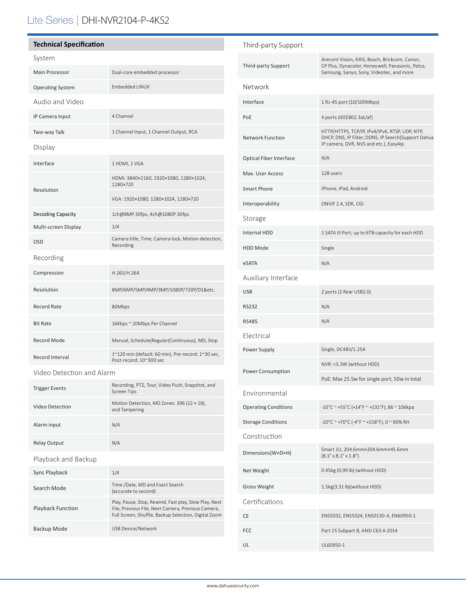## Lite Series | DHI-NVR2104-P-4KS2

| <b>Technical Specification</b> |                                                                               |  |
|--------------------------------|-------------------------------------------------------------------------------|--|
| System                         |                                                                               |  |
| <b>Main Processor</b>          | Dual-core embedded processor                                                  |  |
| <b>Operating System</b>        | <b>Embedded LINUX</b>                                                         |  |
| Audio and Video                |                                                                               |  |
| IP Camera Input                | 4 Channel                                                                     |  |
| Two-way Talk                   | 1 Channel Input, 1 Channel Output, RCA                                        |  |
| Display                        |                                                                               |  |
| Interface                      | 1 HDMI, 1 VGA                                                                 |  |
| Resolution                     | HDMI: 3840×2160, 1920×1080, 1280×1024,<br>1280×720                            |  |
|                                | VGA: 1920×1080, 1280×1024, 1280×720                                           |  |
| Decoding Capacity              | 1ch@8MP 30fps, 4ch@1080P 30fps                                                |  |
| Multi-screen Display           | 1/4                                                                           |  |
| <b>OSD</b>                     | Camera title, Time, Camera lock, Motion detection,<br>Recording               |  |
| Recording                      |                                                                               |  |
| Compression                    | H.265/H.264                                                                   |  |
| Resolution                     | 8MP/6MP/5MP/4MP/3MP/1080P/720P/D1&etc.                                        |  |
| Record Rate                    | 80Mbps                                                                        |  |
| <b>Bit Rate</b>                | 16Kbps ~ 20Mbps Per Channel                                                   |  |
| <b>Record Mode</b>             | Manual, Schedule(Regular(Continuous), MD, Stop                                |  |
| Record Interval                | 1~120 min (default: 60 min), Pre-record: 1~30 sec,<br>Post-record: 10~300 sec |  |
| Video Detection and Alarm      |                                                                               |  |

| <b>Trigger Events</b>    | Recording, PTZ, Tour, Video Push, Snapshot, and<br><b>Screen Tips</b>                                                                                               |  |
|--------------------------|---------------------------------------------------------------------------------------------------------------------------------------------------------------------|--|
| Video Detection          | Motion Detection, MD Zones: 396 (22 × 18),<br>and Tampering                                                                                                         |  |
| Alarm input              | N/A                                                                                                                                                                 |  |
| <b>Relay Output</b>      | N/A                                                                                                                                                                 |  |
| Playback and Backup      |                                                                                                                                                                     |  |
| Sync Playback            | 1/4                                                                                                                                                                 |  |
| Search Mode              | Time /Date, MD and Exact Search<br>(accurate to second)                                                                                                             |  |
| <b>Playback Function</b> | Play, Pause, Stop, Rewind, Fast play, Slow Play, Next<br>File, Previous File, Next Camera, Previous Camera,<br>Full Screen, Shuffle, Backup Selection, Digital Zoom |  |
| Backup Mode              | USB Device/Network                                                                                                                                                  |  |
|                          |                                                                                                                                                                     |  |

| Third-party Support            |                                                                                                                                                 |  |
|--------------------------------|-------------------------------------------------------------------------------------------------------------------------------------------------|--|
| Third-party Support            | Arecont Vision, AXIS, Bosch, Brickcom, Canon,<br>CP Plus, Dynacolor, Honeywell, Panasonic, Pelco,<br>Samsung, Sanyo, Sony, Videotec, and more   |  |
| Network                        |                                                                                                                                                 |  |
| Interface                      | 1 RJ-45 port (10/100Mbps)                                                                                                                       |  |
| PoE                            | 4 ports (IEEE802.3at/af)                                                                                                                        |  |
| <b>Network Function</b>        | HTTP/HTTPS, TCP/IP, IPv4/IPv6, RTSP, UDP, NTP,<br>DHCP, DNS, IP Filter, DDNS, IP Search(Support Dahua<br>IP camera, DVR, NVS and etc.), Easy4ip |  |
| <b>Optical Fiber Interface</b> | N/A                                                                                                                                             |  |
| Max. User Access               | 128 users                                                                                                                                       |  |
| <b>Smart Phone</b>             | iPhone, iPad, Android                                                                                                                           |  |
| Interoperability               | ONVIF 2.4, SDK, CGI                                                                                                                             |  |
| Storage                        |                                                                                                                                                 |  |
| <b>Internal HDD</b>            | 1 SATA III Port, up to 6TB capacity for each HDD                                                                                                |  |
| <b>HDD Mode</b>                | Single                                                                                                                                          |  |
| eSATA                          | N/A                                                                                                                                             |  |
| Auxiliary Interface            |                                                                                                                                                 |  |
| <b>USB</b>                     | 2 ports (2 Rear USB2.0)                                                                                                                         |  |
| <b>RS232</b>                   | N/A                                                                                                                                             |  |
| <b>RS485</b>                   | N/A                                                                                                                                             |  |
| Electrical                     |                                                                                                                                                 |  |
| Power Supply                   | Single, DC48V/1.25A                                                                                                                             |  |
| Power Consumption              | NVR: <5.3W (without HDD)                                                                                                                        |  |
|                                | PoE: Max 25.5w for single port, 50w in total                                                                                                    |  |
| Environmental                  |                                                                                                                                                 |  |
| <b>Operating Conditions</b>    | -10°C ~ +55°C (+14°F ~ +131°F), 86 ~ 106kpa                                                                                                     |  |
| <b>Storage Conditions</b>      | -20°C ~ +70°C (-4°F ~ +158°F), 0 ~ 90% RH                                                                                                       |  |
| Construction                   |                                                                                                                                                 |  |
| Dimensions(W×D×H)              | Smart 1U, 204.6mm×204.6mm×45.6mm<br>$(8.1" \times 8.1" \times 1.8")$                                                                            |  |
| Net Weight                     | 0.45kg (0.99 lb) (without HDD)                                                                                                                  |  |
| Gross Weight                   | 1.5kg(3.31 lb)(without HDD)                                                                                                                     |  |
| Certifications                 |                                                                                                                                                 |  |
| СE                             | EN55032, EN55024, EN50130-4, EN60950-1                                                                                                          |  |
| FCC                            | Part 15 Subpart B, ANSI C63.4-2014                                                                                                              |  |
| UL                             | UL60950-1                                                                                                                                       |  |